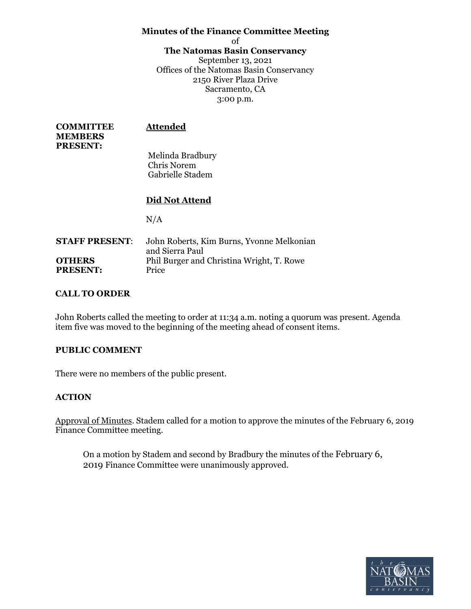# **Minutes of the Finance Committee Meeting**

of

#### **The Natomas Basin Conservancy**

September 13, 2021 Offices of the Natomas Basin Conservancy 2150 River Plaza Drive Sacramento, CA 3:00 p.m.

| <b>COMMITTEE</b><br><b>MEMBERS</b><br><b>PRESENT:</b> | <b>Attended</b>                        |  |
|-------------------------------------------------------|----------------------------------------|--|
|                                                       | Melinda Bradbury                       |  |
|                                                       | <b>Chris Norem</b><br>Gabrielle Stadem |  |
|                                                       | Did Not Attend                         |  |
|                                                       |                                        |  |
|                                                       | N/A                                    |  |

| <b>STAFF PRESENT:</b> | John Roberts, Kim Burns, Yvonne Melkonian |  |  |
|-----------------------|-------------------------------------------|--|--|
|                       | and Sierra Paul                           |  |  |
| <b>OTHERS</b>         | Phil Burger and Christina Wright, T. Rowe |  |  |
| <b>PRESENT:</b>       | Price                                     |  |  |

# **CALL TO ORDER**

John Roberts called the meeting to order at 11:34 a.m. noting a quorum was present. Agenda item five was moved to the beginning of the meeting ahead of consent items.

## **PUBLIC COMMENT**

There were no members of the public present.

## **ACTION**

Approval of Minutes. Stadem called for a motion to approve the minutes of the February 6, 2019 Finance Committee meeting.

On a motion by Stadem and second by Bradbury the minutes of the February 6, 2019 Finance Committee were unanimously approved.